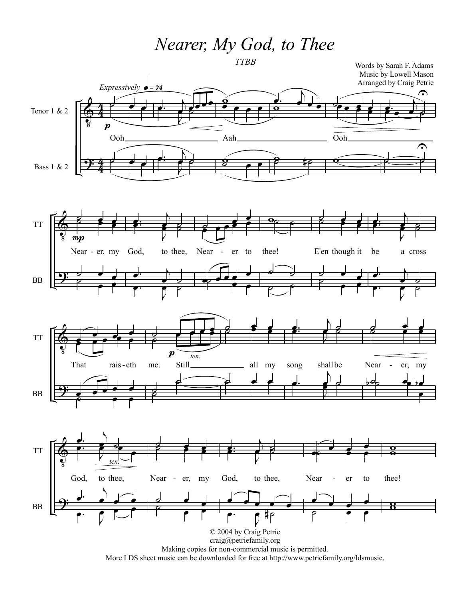*Nearer, My God, to Thee*

*TTBB*



More LDS sheet music can be downloaded for free at http://www.petriefamily.org/ldsmusic.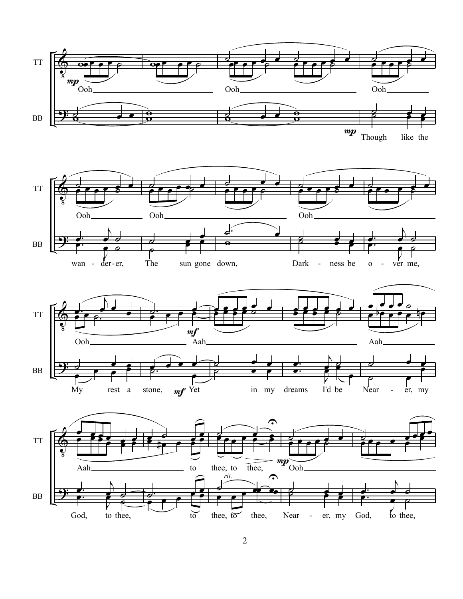

Though like the